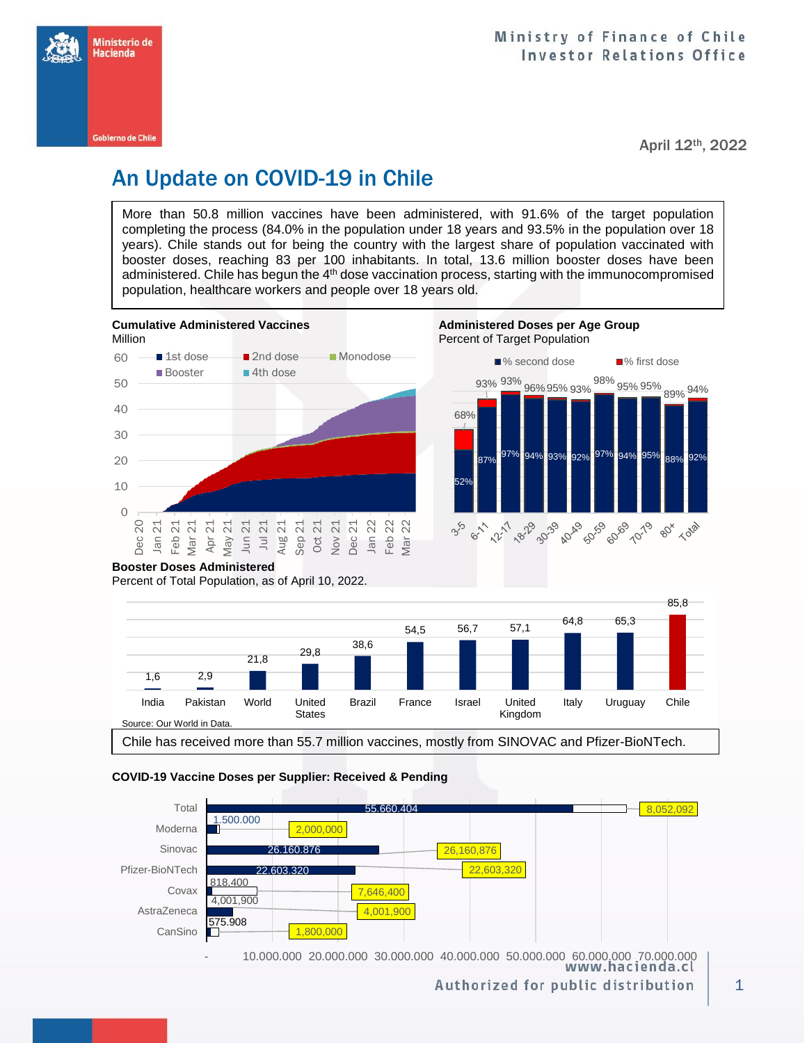

April 12th, 2022

# An Update on COVID-19 in Chile

More than 50.8 million vaccines have been administered, with 91.6% of the target population completing the process (84.0% in the population under 18 years and 93.5% in the population over 18 years). Chile stands out for being the country with the largest share of population vaccinated with booster doses, reaching 83 per 100 inhabitants. In total, 13.6 million booster doses have been administered. Chile has begun the 4<sup>th</sup> dose vaccination process, starting with the immunocompromised population, healthcare workers and people over 18 years old.



## **Booster Doses Administered**

Percent of Total Population, as of April 10, 2022.



#### **COVID-19 Vaccine Doses per Supplier: Received & Pending**



10.000.000 20.000.000 30.000.000 40.000.000 50.000.000 60.000.000 70.000.000<br>www.hacienda.cl

Authorized for public distribution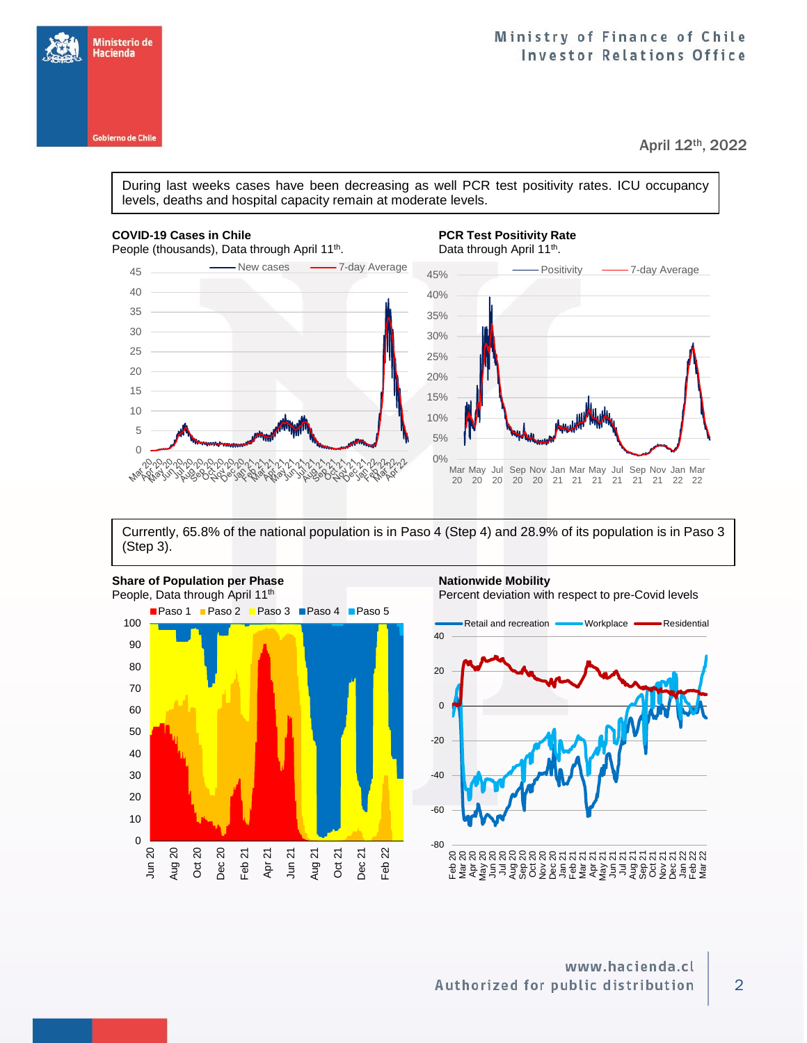

April 12th, 2022

During last weeks cases have been decreasing as well PCR test positivity rates. ICU occupancy levels, deaths and hospital capacity remain at moderate levels.

### **COVID-19 Cases in Chile PCR Test Positivity Rate**

Ministerio de<br>Hacienda

**Gobierno de Chile** 



Currently, 65.8% of the national population is in Paso 4 (Step 4) and 28.9% of its population is in Paso 3 (Step 3).